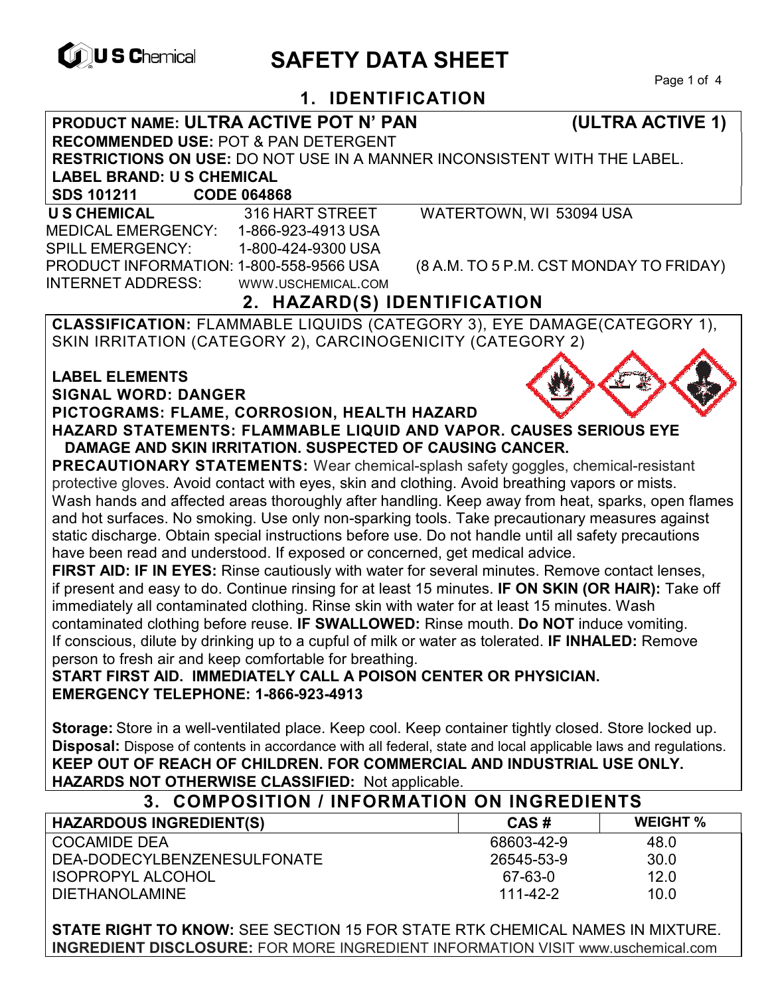

ISOPROPYL ALCOHOL

# **EXAGREM** SAFETY DATA SHEET

Page 1 of 4

# **1. IDENTIFICATION**

**PRODUCT NAME: ULTRA ACTIVE POT N' PAN (ULTRA ACTIVE 1) RECOMMENDED USE:** POT & PAN DETERGENT **RESTRICTIONS ON USE:** DO NOT USE IN A MANNER INCONSISTENT WITH THE LABEL. **LABEL BRAND: U S CHEMICAL SDS 101211 CODE 064868 U S CHEMICAL** 316 HART STREET WATERTOWN, WI 53094 USA MEDICAL EMERGENCY: 1-866-923-4913 USA SPILL EMERGENCY: 1-800-424-9300 USA PRODUCT INFORMATION: 1-800-558-9566 USA (8 A.M. TO 5 P.M. CST MONDAY TO FRIDAY) INTERNET ADDRESS: WWW.USCHEMICAL.COM **2. HAZARD(S) IDENTIFICATION CLASSIFICATION:** FLAMMABLE LIQUIDS (CATEGORY 3), EYE DAMAGE(CATEGORY 1), SKIN IRRITATION (CATEGORY 2), CARCINOGENICITY (CATEGORY 2) **LABEL ELEMENTS SIGNAL WORD: DANGER PICTOGRAMS: FLAME, CORROSION, HEALTH HAZARD HAZARD STATEMENTS: FLAMMABLE LIQUID AND VAPOR. CAUSES SERIOUS EYE DAMAGE AND SKIN IRRITATION. SUSPECTED OF CAUSING CANCER. PRECAUTIONARY STATEMENTS:** Wear chemical-splash safety goggles, chemical-resistant protective gloves. Avoid contact with eyes, skin and clothing. Avoid breathing vapors or mists. Wash hands and affected areas thoroughly after handling. Keep away from heat, sparks, open flames and hot surfaces. No smoking. Use only non-sparking tools. Take precautionary measures against static discharge. Obtain special instructions before use. Do not handle until all safety precautions have been read and understood. If exposed or concerned, get medical advice. **FIRST AID: IF IN EYES:** Rinse cautiously with water for several minutes. Remove contact lenses, if present and easy to do. Continue rinsing for at least 15 minutes. **IF ON SKIN (OR HAIR):** Take off immediately all contaminated clothing. Rinse skin with water for at least 15 minutes. Wash contaminated clothing before reuse. **IF SWALLOWED:** Rinse mouth. **Do NOT** induce vomiting. If conscious, dilute by drinking up to a cupful of milk or water as tolerated. **IF INHALED:** Remove person to fresh air and keep comfortable for breathing. **START FIRST AID. IMMEDIATELY CALL A POISON CENTER OR PHYSICIAN. EMERGENCY TELEPHONE: 1-866-923-4913 Storage:** Store in a well-ventilated place. Keep cool. Keep container tightly closed. Store locked up. **Disposal:** Dispose of contents in accordance with all federal, state and local applicable laws and regulations. **KEEP OUT OF REACH OF CHILDREN. FOR COMMERCIAL AND INDUSTRIAL USE ONLY. HAZARDS NOT OTHERWISE CLASSIFIED:** Not applicable. **3. COMPOSITION / INFORMATION ON INGREDIENTS HAZARDOUS INGREDIENT(S) CAS # WEIGHT %** COCAMIDE DEA DEA-DODECYLBENZENESULFONATE 68603-42-9 48.0 30.0

DIETHANOLAMINE 111-42-2 10.0 **STATE RIGHT TO KNOW:** SEE SECTION 15 FOR STATE RTK CHEMICAL NAMES IN MIXTURE. **INGREDIENT DISCLOSURE:** FOR MORE INGREDIENT INFORMATION VISIT www.uschemical.com

26545-53-9

67-63-0

12.0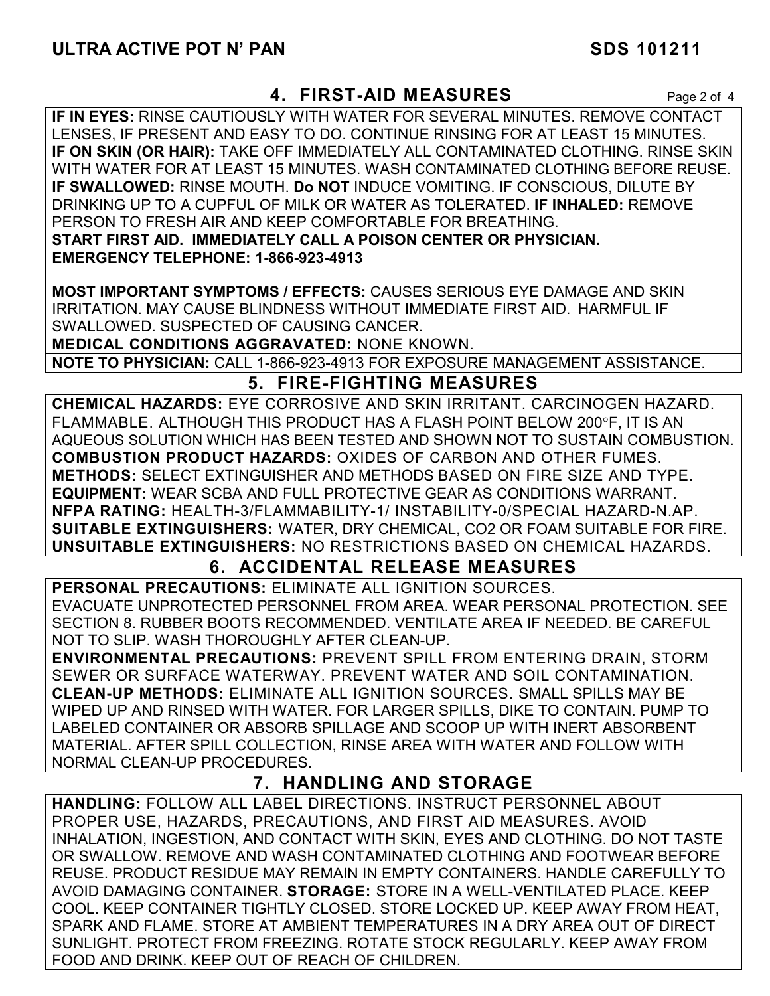#### **4. FIRST-AID MEASURES** Page 2 of 4

**IF IN EYES:** RINSE CAUTIOUSLY WITH WATER FOR SEVERAL MINUTES. REMOVE CONTACT LENSES, IF PRESENT AND EASY TO DO. CONTINUE RINSING FOR AT LEAST 15 MINUTES. **IF ON SKIN (OR HAIR):** TAKE OFF IMMEDIATELY ALL CONTAMINATED CLOTHING. RINSE SKIN WITH WATER FOR AT LEAST 15 MINUTES. WASH CONTAMINATED CLOTHING BEFORE REUSE. **IF SWALLOWED:** RINSE MOUTH. **Do NOT** INDUCE VOMITING. IF CONSCIOUS, DILUTE BY DRINKING UP TO A CUPFUL OF MILK OR WATER AS TOLERATED. **IF INHALED:** REMOVE PERSON TO FRESH AIR AND KEEP COMFORTABLE FOR BREATHING. **START FIRST AID. IMMEDIATELY CALL A POISON CENTER OR PHYSICIAN. EMERGENCY TELEPHONE: 1-866-923-4913** 

**MOST IMPORTANT SYMPTOMS / EFFECTS:** CAUSES SERIOUS EYE DAMAGE AND SKIN IRRITATION. MAY CAUSE BLINDNESS WITHOUT IMMEDIATE FIRST AID. HARMFUL IF SWALLOWED. SUSPECTED OF CAUSING CANCER.

**MEDICAL CONDITIONS AGGRAVATED:** NONE KNOWN.

**NOTE TO PHYSICIAN:** CALL 1-866-923-4913 FOR EXPOSURE MANAGEMENT ASSISTANCE.

# **5. FIRE-FIGHTING MEASURES**

**CHEMICAL HAZARDS:** EYE CORROSIVE AND SKIN IRRITANT. CARCINOGEN HAZARD. FLAMMABLE. ALTHOUGH THIS PRODUCT HAS A FLASH POINT BELOW 200°F. IT IS AN AQUEOUS SOLUTION WHICH HAS BEEN TESTED AND SHOWN NOT TO SUSTAIN COMBUSTION. **COMBUSTION PRODUCT HAZARDS:** OXIDES OF CARBON AND OTHER FUMES. **METHODS:** SELECT EXTINGUISHER AND METHODS BASED ON FIRE SIZE AND TYPE. **EQUIPMENT:** WEAR SCBA AND FULL PROTECTIVE GEAR AS CONDITIONS WARRANT. **NFPA RATING:** HEALTH-3/FLAMMABILITY-1/ INSTABILITY-0/SPECIAL HAZARD-N.AP. **SUITABLE EXTINGUISHERS:** WATER, DRY CHEMICAL, CO2 OR FOAM SUITABLE FOR FIRE. **UNSUITABLE EXTINGUISHERS:** NO RESTRICTIONS BASED ON CHEMICAL HAZARDS.

# **6. ACCIDENTAL RELEASE MEASURES**

**PERSONAL PRECAUTIONS:** ELIMINATE ALL IGNITION SOURCES. EVACUATE UNPROTECTED PERSONNEL FROM AREA. WEAR PERSONAL PROTECTION. SEE SECTION 8. RUBBER BOOTS RECOMMENDED. VENTILATE AREA IF NEEDED. BE CAREFUL NOT TO SLIP. WASH THOROUGHLY AFTER CLEAN-UP.

**ENVIRONMENTAL PRECAUTIONS:** PREVENT SPILL FROM ENTERING DRAIN, STORM SEWER OR SURFACE WATERWAY. PREVENT WATER AND SOIL CONTAMINATION. **CLEAN-UP METHODS:** ELIMINATE ALL IGNITION SOURCES. SMALL SPILLS MAY BE WIPED UP AND RINSED WITH WATER. FOR LARGER SPILLS, DIKE TO CONTAIN. PUMP TO LABELED CONTAINER OR ABSORB SPILLAGE AND SCOOP UP WITH INERT ABSORBENT MATERIAL. AFTER SPILL COLLECTION, RINSE AREA WITH WATER AND FOLLOW WITH NORMAL CLEAN-UP PROCEDURES.

# **7. HANDLING AND STORAGE**

**HANDLING:** FOLLOW ALL LABEL DIRECTIONS. INSTRUCT PERSONNEL ABOUT PROPER USE, HAZARDS, PRECAUTIONS, AND FIRST AID MEASURES. AVOID INHALATION, INGESTION, AND CONTACT WITH SKIN, EYES AND CLOTHING. DO NOT TASTE OR SWALLOW. REMOVE AND WASH CONTAMINATED CLOTHING AND FOOTWEAR BEFORE REUSE. PRODUCT RESIDUE MAY REMAIN IN EMPTY CONTAINERS. HANDLE CAREFULLY TO AVOID DAMAGING CONTAINER. **STORAGE:** STORE IN A WELL-VENTILATED PLACE. KEEP COOL. KEEP CONTAINER TIGHTLY CLOSED. STORE LOCKED UP. KEEP AWAY FROM HEAT, SPARK AND FLAME. STORE AT AMBIENT TEMPERATURES IN A DRY AREA OUT OF DIRECT SUNLIGHT. PROTECT FROM FREEZING. ROTATE STOCK REGULARLY. KEEP AWAY FROM FOOD AND DRINK. KEEP OUT OF REACH OF CHILDREN.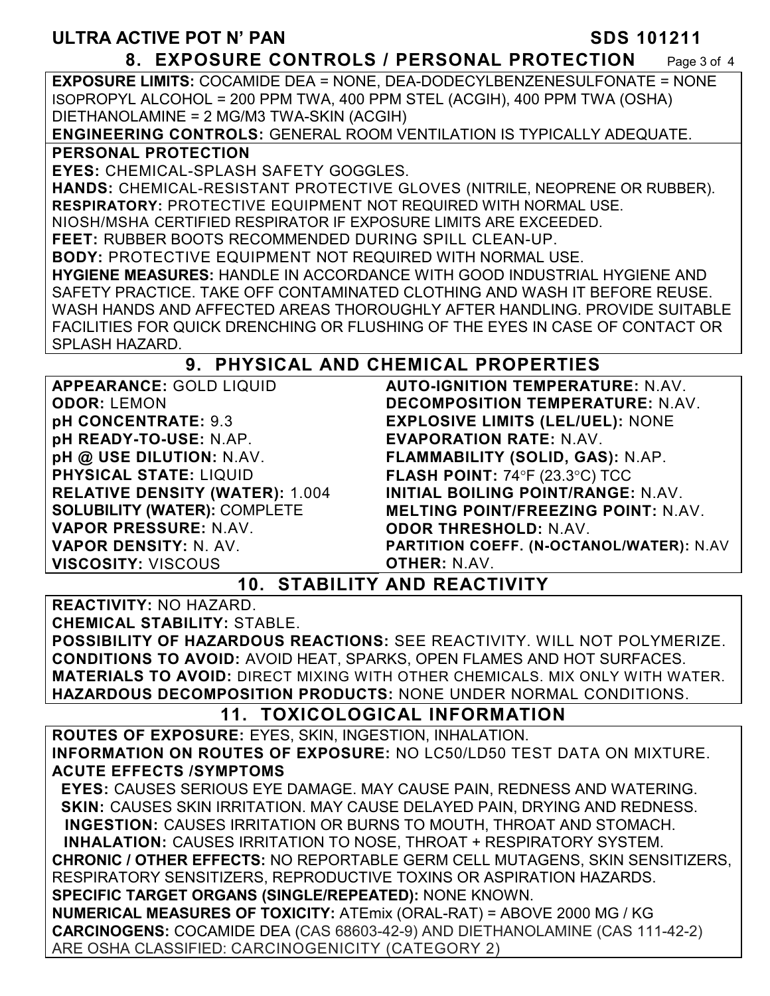#### **8. EXPOSURE CONTROLS / PERSONAL PROTECTION** Page 3 of 4

**EXPOSURE LIMITS:** COCAMIDE DEA = NONE, DEA-DODECYLBENZENESULFONATE = NONE ISOPROPYL ALCOHOL = 200 PPM TWA, 400 PPM STEL (ACGIH), 400 PPM TWA (OSHA) DIETHANOLAMINE = 2 MG/M3 TWA-SKIN (ACGIH)

**ENGINEERING CONTROLS:** GENERAL ROOM VENTILATION IS TYPICALLY ADEQUATE.

**PERSONAL PROTECTION** 

**EYES:** CHEMICAL-SPLASH SAFETY GOGGLES.

**HANDS:** CHEMICAL-RESISTANT PROTECTIVE GLOVES (NITRILE, NEOPRENE OR RUBBER). **RESPIRATORY:** PROTECTIVE EQUIPMENT NOT REQUIRED WITH NORMAL USE.

NIOSH/MSHA CERTIFIED RESPIRATOR IF EXPOSURE LIMITS ARE EXCEEDED.

**FEET:** RUBBER BOOTS RECOMMENDED DURING SPILL CLEAN-UP.

**BODY:** PROTECTIVE EQUIPMENT NOT REQUIRED WITH NORMAL USE.

**HYGIENE MEASURES:** HANDLE IN ACCORDANCE WITH GOOD INDUSTRIAL HYGIENE AND SAFETY PRACTICE. TAKE OFF CONTAMINATED CLOTHING AND WASH IT BEFORE REUSE. WASH HANDS AND AFFECTED AREAS THOROUGHLY AFTER HANDLING. PROVIDE SUITABLE FACILITIES FOR QUICK DRENCHING OR FLUSHING OF THE EYES IN CASE OF CONTACT OR SPLASH HAZARD.

# **9. PHYSICAL AND CHEMICAL PROPERTIES**

**APPEARANCE:** GOLD LIQUID **ODOR:** LEMON **pH CONCENTRATE:** 9.3 **pH READY-TO-USE:** N.AP. **pH @ USE DILUTION:** N.AV. **PHYSICAL STATE:** LIQUID **RELATIVE DENSITY (WATER):** 1.004 **SOLUBILITY (WATER):** COMPLETE **VAPOR PRESSURE:** N.AV. **VAPOR DENSITY:** N. AV. **VISCOSITY:** VISCOUS

**AUTO-IGNITION TEMPERATURE:** N.AV. **DECOMPOSITION TEMPERATURE:** N.AV. **EXPLOSIVE LIMITS (LEL/UEL):** NONE **EVAPORATION RATE:** N.AV. **FLAMMABILITY (SOLID, GAS):** N.AP. **FLASH POINT: 74°F (23.3°C) TCC INITIAL BOILING POINT/RANGE:** N.AV. **MELTING POINT/FREEZING POINT:** N.AV. **ODOR THRESHOLD:** N.AV. **PARTITION COEFF. (N-OCTANOL/WATER):** N.AV **OTHER:** N.AV.

**10. STABILITY AND REACTIVITY** 

**REACTIVITY:** NO HAZARD. **CHEMICAL STABILITY:** STABLE.

**POSSIBILITY OF HAZARDOUS REACTIONS:** SEE REACTIVITY. WILL NOT POLYMERIZE. **CONDITIONS TO AVOID:** AVOID HEAT, SPARKS, OPEN FLAMES AND HOT SURFACES. **MATERIALS TO AVOID:** DIRECT MIXING WITH OTHER CHEMICALS. MIX ONLY WITH WATER. **HAZARDOUS DECOMPOSITION PRODUCTS:** NONE UNDER NORMAL CONDITIONS.

# **11. TOXICOLOGICAL INFORMATION**

**ROUTES OF EXPOSURE:** EYES, SKIN, INGESTION, INHALATION. **INFORMATION ON ROUTES OF EXPOSURE:** NO LC50/LD50 TEST DATA ON MIXTURE. **ACUTE EFFECTS /SYMPTOMS**

 **EYES:** CAUSES SERIOUS EYE DAMAGE. MAY CAUSE PAIN, REDNESS AND WATERING.  **SKIN:** CAUSES SKIN IRRITATION. MAY CAUSE DELAYED PAIN, DRYING AND REDNESS. **INGESTION:** CAUSES IRRITATION OR BURNS TO MOUTH, THROAT AND STOMACH.

**INHALATION:** CAUSES IRRITATION TO NOSE, THROAT + RESPIRATORY SYSTEM.

**CHRONIC / OTHER EFFECTS:** NO REPORTABLE GERM CELL MUTAGENS, SKIN SENSITIZERS, RESPIRATORY SENSITIZERS, REPRODUCTIVE TOXINS OR ASPIRATION HAZARDS. **SPECIFIC TARGET ORGANS (SINGLE/REPEATED):** NONE KNOWN.

**NUMERICAL MEASURES OF TOXICITY:** ATEmix (ORAL-RAT) = ABOVE 2000 MG / KG **CARCINOGENS:** COCAMIDE DEA (CAS 68603-42-9) AND DIETHANOLAMINE (CAS 111-42-2) ARE OSHA CLASSIFIED: CARCINOGENICITY (CATEGORY 2)